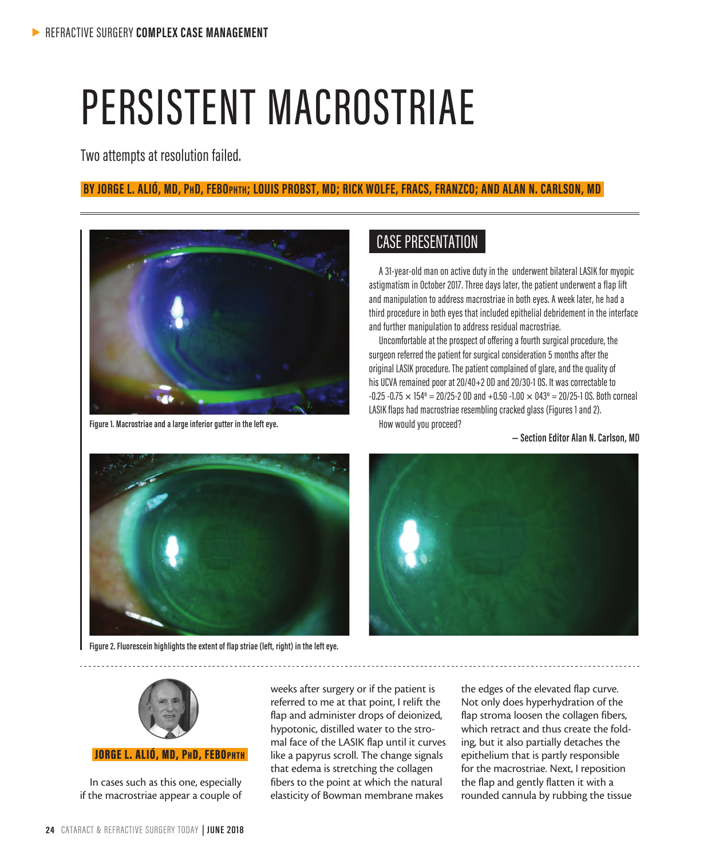# PERSISTENT MACROSTRIAE

Two attempts at resolution failed.

### **BY JORGE L. ALIÓ, MD, PhD, FEBOphth; LOUIS PROBST, MD; RICK WOLFE, FRACS, FRANZCO; AND ALAN N. CARLSON, MD**



**Figure 1. Macrostriae and a large inferior gutter in the left eye.**

## CASE PRESENTATION

A 31-year-old man on active duty in the underwent bilateral LASIK for myopic astigmatism in October 2017. Three days later, the patient underwent a flap lift and manipulation to address macrostriae in both eyes. A week later, he had a third procedure in both eyes that included epithelial debridement in the interface and further manipulation to address residual macrostriae.

Uncomfortable at the prospect of offering a fourth surgical procedure, the surgeon referred the patient for surgical consideration 5 months after the original LASIK procedure. The patient complained of glare, and the quality of his UCVA remained poor at 20/40+2 OD and 20/30-1 OS. It was correctable to  $-0.25 - 0.75 \times 154$ <sup>o</sup> = 20/25-2 0D and  $+0.50 - 1.00 \times 043$ <sup>o</sup> = 20/25-1 0S. Both corneal LASIK flaps had macrostriae resembling cracked glass (Figures 1 and 2). How would you proceed?

**— Section Editor Alan N. Carlson, MD**



**Figure 2. Fluorescein highlights the extent of flap striae (left, right) in the left eye.**





#### JORGE L. ALIÓ, MD, PhD, FEBOphth

In cases such as this one, especially if the macrostriae appear a couple of weeks after surgery or if the patient is referred to me at that point, I relift the flap and administer drops of deionized, hypotonic, distilled water to the stromal face of the LASIK flap until it curves like a papyrus scroll. The change signals that edema is stretching the collagen fibers to the point at which the natural elasticity of Bowman membrane makes

the edges of the elevated flap curve. Not only does hyperhydration of the flap stroma loosen the collagen fibers, which retract and thus create the folding, but it also partially detaches the epithelium that is partly responsible for the macrostriae. Next, I reposition the flap and gently flatten it with a rounded cannula by rubbing the tissue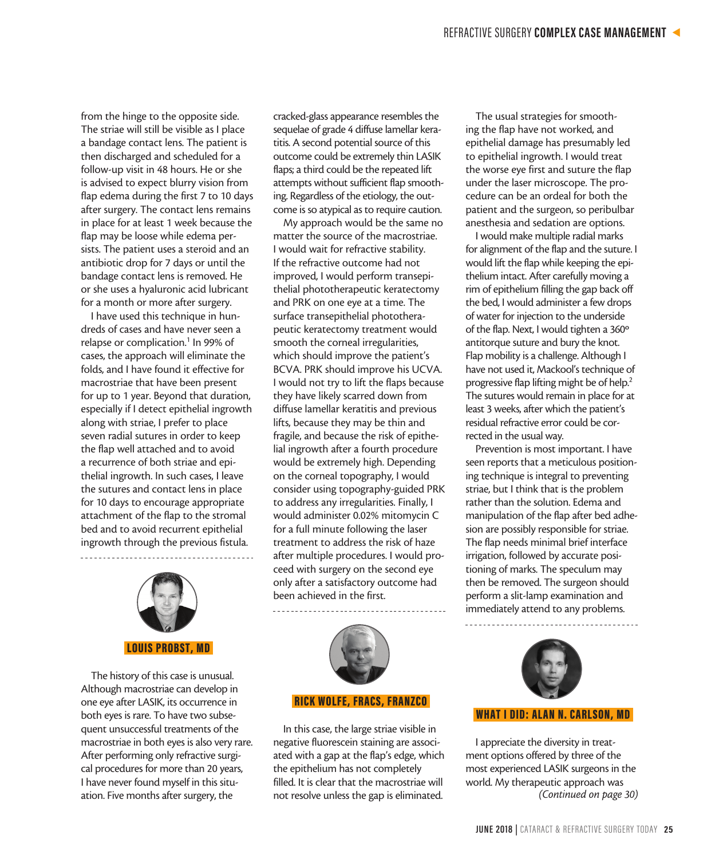from the hinge to the opposite side. The striae will still be visible as I place a bandage contact lens. The patient is then discharged and scheduled for a follow-up visit in 48 hours. He or she is advised to expect blurry vision from flap edema during the first 7 to 10 days after surgery. The contact lens remains in place for at least 1 week because the flap may be loose while edema persists. The patient uses a steroid and an antibiotic drop for 7 days or until the bandage contact lens is removed. He or she uses a hyaluronic acid lubricant for a month or more after surgery.

I have used this technique in hundreds of cases and have never seen a relapse or complication.<sup>1</sup> In 99% of cases, the approach will eliminate the folds, and I have found it effective for macrostriae that have been present for up to 1 year. Beyond that duration, especially if I detect epithelial ingrowth along with striae, I prefer to place seven radial sutures in order to keep the flap well attached and to avoid a recurrence of both striae and epithelial ingrowth. In such cases, I leave the sutures and contact lens in place for 10 days to encourage appropriate attachment of the flap to the stromal bed and to avoid recurrent epithelial ingrowth through the previous fistula.



The history of this case is unusual. Although macrostriae can develop in one eye after LASIK, its occurrence in both eyes is rare. To have two subsequent unsuccessful treatments of the macrostriae in both eyes is also very rare. After performing only refractive surgical procedures for more than 20 years, I have never found myself in this situation. Five months after surgery, the

cracked-glass appearance resembles the sequelae of grade 4 diffuse lamellar keratitis. A second potential source of this outcome could be extremely thin LASIK flaps; a third could be the repeated lift attempts without sufficient flap smoothing. Regardless of the etiology, the outcome is so atypical as to require caution.

My approach would be the same no matter the source of the macrostriae. I would wait for refractive stability. If the refractive outcome had not improved, I would perform transepithelial phototherapeutic keratectomy and PRK on one eye at a time. The surface transepithelial phototherapeutic keratectomy treatment would smooth the corneal irregularities, which should improve the patient's BCVA. PRK should improve his UCVA. I would not try to lift the flaps because they have likely scarred down from diffuse lamellar keratitis and previous lifts, because they may be thin and fragile, and because the risk of epithelial ingrowth after a fourth procedure would be extremely high. Depending on the corneal topography, I would consider using topography-guided PRK to address any irregularities. Finally, I would administer 0.02% mitomycin C for a full minute following the laser treatment to address the risk of haze after multiple procedures. I would proceed with surgery on the second eye only after a satisfactory outcome had been achieved in the first.



. . . . . . . . . . . . .

#### RICK WOLFE, FRACS, FRANZCO

In this case, the large striae visible in negative fluorescein staining are associated with a gap at the flap's edge, which the epithelium has not completely filled. It is clear that the macrostriae will not resolve unless the gap is eliminated.

The usual strategies for smoothing the flap have not worked, and epithelial damage has presumably led to epithelial ingrowth. I would treat the worse eye first and suture the flap under the laser microscope. The procedure can be an ordeal for both the patient and the surgeon, so peribulbar anesthesia and sedation are options.

I would make multiple radial marks for alignment of the flap and the suture. I would lift the flap while keeping the epithelium intact. After carefully moving a rim of epithelium filling the gap back off the bed, I would administer a few drops of water for injection to the underside of the flap. Next, I would tighten a 360º antitorque suture and bury the knot. Flap mobility is a challenge. Although I have not used it, Mackool's technique of progressive flap lifting might be of help.<sup>2</sup> The sutures would remain in place for at least 3 weeks, after which the patient's residual refractive error could be corrected in the usual way.

Prevention is most important. I have seen reports that a meticulous positioning technique is integral to preventing striae, but I think that is the problem rather than the solution. Edema and manipulation of the flap after bed adhesion are possibly responsible for striae. The flap needs minimal brief interface irrigation, followed by accurate positioning of marks. The speculum may then be removed. The surgeon should perform a slit-lamp examination and immediately attend to any problems.



#### WHAT I DID: ALAN N. CARLSON, MD

I appreciate the diversity in treatment options offered by three of the most experienced LASIK surgeons in the world. My therapeutic approach was *(Continued on page 30)*